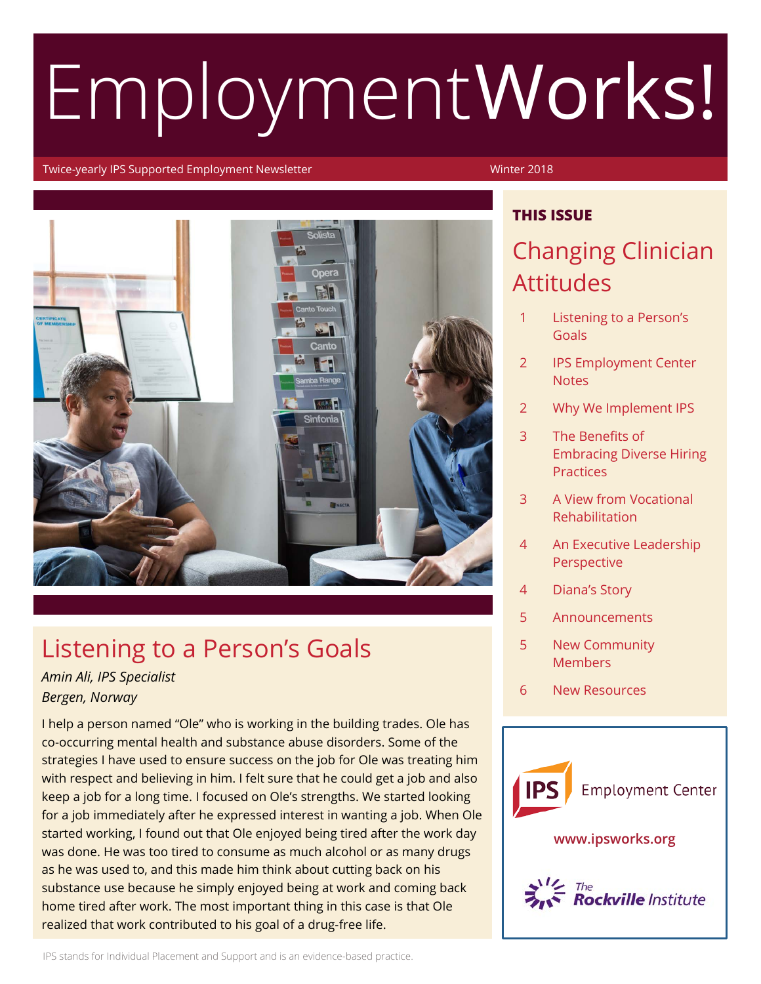# EmploymentWorks!

#### Twice-yearly IPS Supported Employment Newsletter Winter 2018

**THIS ISSUE**



## Listening to a Person's Goals

#### *Amin Ali, IPS Specialist Bergen, Norway*

I help a person named "Ole" who is working in the building trades. Ole has co-occurring mental health and substance abuse disorders. Some of the strategies I have used to ensure success on the job for Ole was treating him with respect and believing in him. I felt sure that he could get a job and also keep a job for a long time. I focused on Ole's strengths. We started looking for a job immediately after he expressed interest in wanting a job. When Ole started working, I found out that Ole enjoyed being tired after the work day was done. He was too tired to consume as much alcohol or as many drugs as he was used to, and this made him think about cutting back on his substance use because he simply enjoyed being at work and coming back home tired after work. The most important thing in this case is that Ole realized that work contributed to his goal of a drug-free life.

#### Changing Clinician

## Attitudes

- 1 Listening to a Person's Goals
- 2 IPS Employment Center **Notes**
- 2 Why We Implement IPS
- 3 The Benefits of Embracing Diverse Hiring **Practices**
- 3 A View from Vocational Rehabilitation
- 4 An Executive Leadership **Perspective**
- 4 Diana's Story
- 5 Announcements
- 5 New Community **Members**
- 6 New Resources

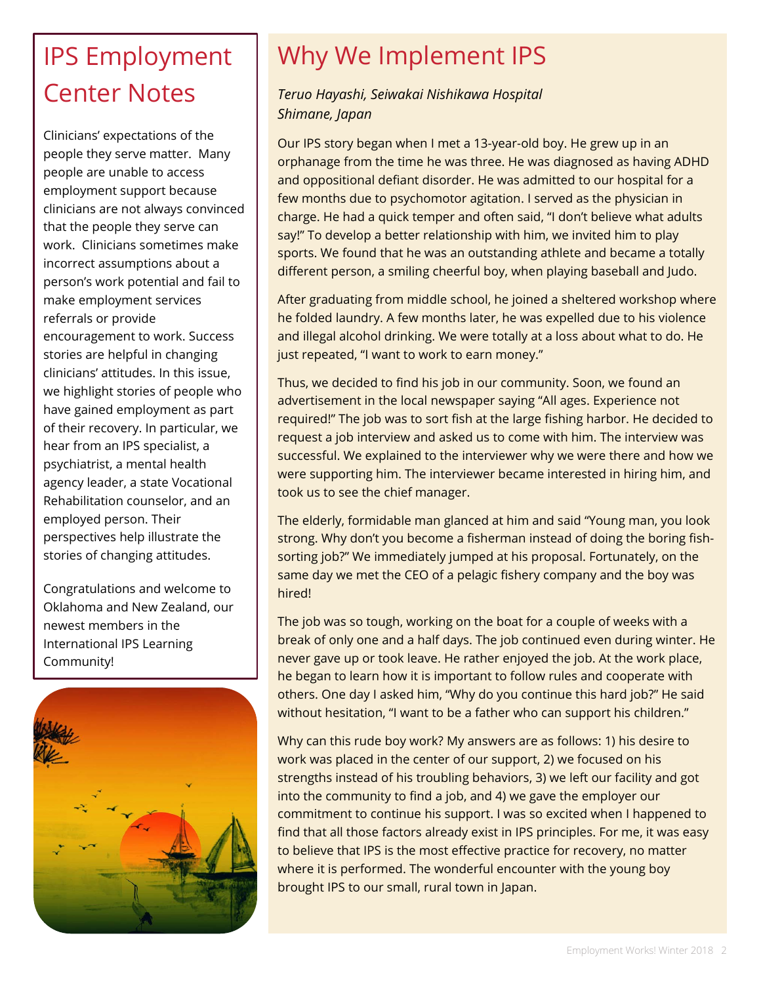## IPS Employment Center Notes

Clinicians' expectations of the people they serve matter. Many people are unable to access employment support because clinicians are not always convinced that the people they serve can work. Clinicians sometimes make incorrect assumptions about a person's work potential and fail to make employment services referrals or provide encouragement to work. Success stories are helpful in changing clinicians' attitudes. In this issue, we highlight stories of people who have gained employment as part of their recovery. In particular, we hear from an IPS specialist, a psychiatrist, a mental health agency leader, a state Vocational Rehabilitation counselor, and an employed person. Their perspectives help illustrate the stories of changing attitudes.

Congratulations and welcome to Oklahoma and New Zealand, our newest members in the International IPS Learning Community!



## Why We Implement IPS

#### *Teruo Hayashi, Seiwakai Nishikawa Hospital Shimane, Japan*

Our IPS story began when I met a 13-year-old boy. He grew up in an orphanage from the time he was three. He was diagnosed as having ADHD and oppositional defiant disorder. He was admitted to our hospital for a few months due to psychomotor agitation. I served as the physician in charge. He had a quick temper and often said, "I don't believe what adults say!" To develop a better relationship with him, we invited him to play sports. We found that he was an outstanding athlete and became a totally different person, a smiling cheerful boy, when playing baseball and Judo.

After graduating from middle school, he joined a sheltered workshop where he folded laundry. A few months later, he was expelled due to his violence and illegal alcohol drinking. We were totally at a loss about what to do. He just repeated, "I want to work to earn money."

Thus, we decided to find his job in our community. Soon, we found an advertisement in the local newspaper saying "All ages. Experience not required!" The job was to sort fish at the large fishing harbor. He decided to request a job interview and asked us to come with him. The interview was successful. We explained to the interviewer why we were there and how we were supporting him. The interviewer became interested in hiring him, and took us to see the chief manager.

The elderly, formidable man glanced at him and said "Young man, you look strong. Why don't you become a fisherman instead of doing the boring fishsorting job?" We immediately jumped at his proposal. Fortunately, on the same day we met the CEO of a pelagic fishery company and the boy was hired!

The job was so tough, working on the boat for a couple of weeks with a break of only one and a half days. The job continued even during winter. He never gave up or took leave. He rather enjoyed the job. At the work place, he began to learn how it is important to follow rules and cooperate with others. One day I asked him, "Why do you continue this hard job?" He said without hesitation, "I want to be a father who can support his children."

Why can this rude boy work? My answers are as follows: 1) his desire to work was placed in the center of our support, 2) we focused on his strengths instead of his troubling behaviors, 3) we left our facility and got into the community to find a job, and 4) we gave the employer our commitment to continue his support. I was so excited when I happened to find that all those factors already exist in IPS principles. For me, it was easy to believe that IPS is the most effective practice for recovery, no matter where it is performed. The wonderful encounter with the young boy brought IPS to our small, rural town in Japan.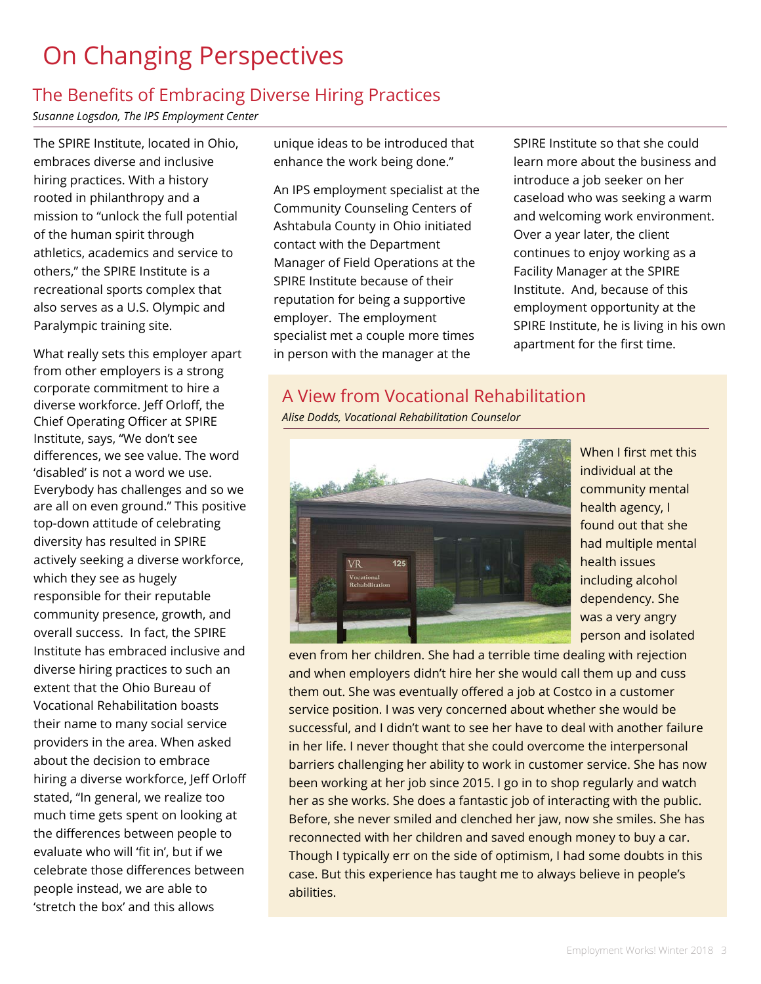## On Changing Perspectives

#### The Benefits of Embracing Diverse Hiring Practices

*Susanne Logsdon, The IPS Employment Center*

The SPIRE Institute, located in Ohio, embraces diverse and inclusive hiring practices. With a history rooted in philanthropy and a mission to "unlock the full potential of the human spirit through athletics, academics and service to others," the SPIRE Institute is a recreational sports complex that also serves as a U.S. Olympic and Paralympic training site.

What really sets this employer apart from other employers is a strong corporate commitment to hire a diverse workforce. Jeff Orloff, the Chief Operating Officer at SPIRE Institute, says, "We don't see differences, we see value. The word 'disabled' is not a word we use. Everybody has challenges and so we are all on even ground." This positive top-down attitude of celebrating diversity has resulted in SPIRE actively seeking a diverse workforce, which they see as hugely responsible for their reputable community presence, growth, and overall success. In fact, the SPIRE Institute has embraced inclusive and diverse hiring practices to such an extent that the Ohio Bureau of Vocational Rehabilitation boasts their name to many social service providers in the area. When asked about the decision to embrace hiring a diverse workforce, Jeff Orloff stated, "In general, we realize too much time gets spent on looking at the differences between people to evaluate who will 'fit in', but if we celebrate those differences between people instead, we are able to 'stretch the box' and this allows

unique ideas to be introduced that enhance the work being done."

An IPS employment specialist at the Community Counseling Centers of Ashtabula County in Ohio initiated contact with the Department Manager of Field Operations at the SPIRE Institute because of their reputation for being a supportive employer. The employment specialist met a couple more times in person with the manager at the

SPIRE Institute so that she could learn more about the business and introduce a job seeker on her caseload who was seeking a warm and welcoming work environment. Over a year later, the client continues to enjoy working as a Facility Manager at the SPIRE Institute. And, because of this employment opportunity at the SPIRE Institute, he is living in his own apartment for the first time.

#### A View from Vocational Rehabilitation

*Alise Dodds, Vocational Rehabilitation Counselor*



When I first met this individual at the community mental health agency, I found out that she had multiple mental health issues including alcohol dependency. She was a very angry person and isolated

even from her children. She had a terrible time dealing with rejection and when employers didn't hire her she would call them up and cuss them out. She was eventually offered a job at Costco in a customer service position. I was very concerned about whether she would be successful, and I didn't want to see her have to deal with another failure in her life. I never thought that she could overcome the interpersonal barriers challenging her ability to work in customer service. She has now been working at her job since 2015. I go in to shop regularly and watch her as she works. She does a fantastic job of interacting with the public. Before, she never smiled and clenched her jaw, now she smiles. She has reconnected with her children and saved enough money to buy a car. Though I typically err on the side of optimism, I had some doubts in this case. But this experience has taught me to always believe in people's abilities.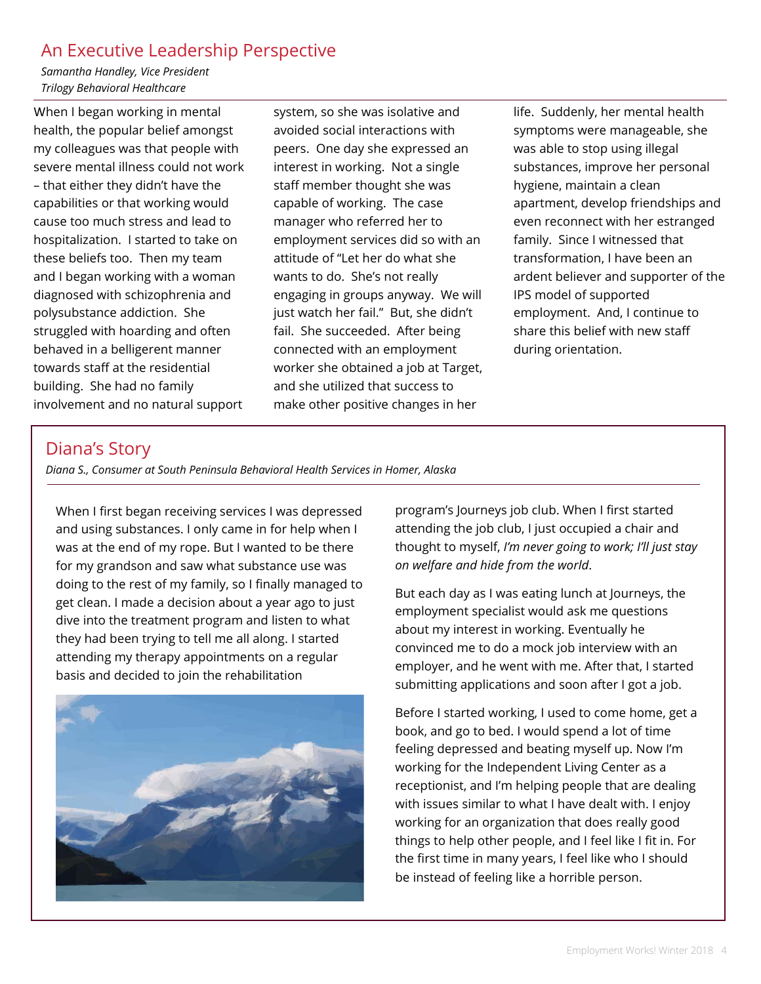#### An Executive Leadership Perspective

*Samantha Handley, Vice President Trilogy Behavioral Healthcare*

When I began working in mental health, the popular belief amongst my colleagues was that people with severe mental illness could not work – that either they didn't have the capabilities or that working would cause too much stress and lead to hospitalization. I started to take on these beliefs too. Then my team and I began working with a woman diagnosed with schizophrenia and polysubstance addiction. She struggled with hoarding and often behaved in a belligerent manner towards staff at the residential building. She had no family involvement and no natural support

system, so she was isolative and avoided social interactions with peers. One day she expressed an interest in working. Not a single staff member thought she was capable of working. The case manager who referred her to employment services did so with an attitude of "Let her do what she wants to do. She's not really engaging in groups anyway. We will just watch her fail." But, she didn't fail. She succeeded. After being connected with an employment worker she obtained a job at Target, and she utilized that success to make other positive changes in her

life. Suddenly, her mental health symptoms were manageable, she was able to stop using illegal substances, improve her personal hygiene, maintain a clean apartment, develop friendships and even reconnect with her estranged family. Since I witnessed that transformation, I have been an ardent believer and supporter of the IPS model of supported employment. And, I continue to share this belief with new staff during orientation.

#### Diana's Story

*Diana S., Consumer at South Peninsula Behavioral Health Services in Homer, Alaska*

When I first began receiving services I was depressed and using substances. I only came in for help when I was at the end of my rope. But I wanted to be there for my grandson and saw what substance use was doing to the rest of my family, so I finally managed to get clean. I made a decision about a year ago to just dive into the treatment program and listen to what they had been trying to tell me all along. I started attending my therapy appointments on a regular basis and decided to join the rehabilitation



program's Journeys job club. When I first started attending the job club, I just occupied a chair and thought to myself, *I'm never going to work; I'll just stay on welfare and hide from the world*.

But each day as I was eating lunch at Journeys, the employment specialist would ask me questions about my interest in working. Eventually he convinced me to do a mock job interview with an employer, and he went with me. After that, I started submitting applications and soon after I got a job.

Before I started working, I used to come home, get a book, and go to bed. I would spend a lot of time feeling depressed and beating myself up. Now I'm working for the Independent Living Center as a receptionist, and I'm helping people that are dealing with issues similar to what I have dealt with. I enjoy working for an organization that does really good things to help other people, and I feel like I fit in. For the first time in many years, I feel like who I should be instead of feeling like a horrible person.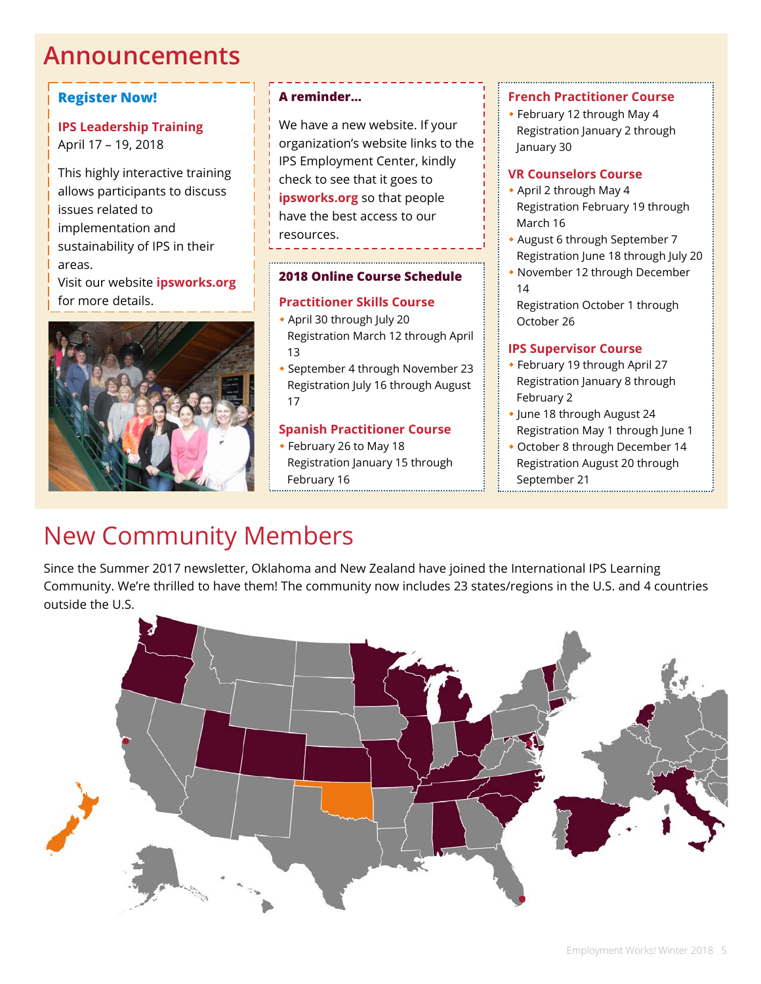### **Announcements**

#### **Register Now!**

#### **IPS Leadership Training** April 17 – 19, 2018

This highly interactive training allows participants to discuss issues related to implementation and sustainability of IPS in their areas.

Visit our website **ipsworks.org** for more details.



#### **A reminder…**

We have a new website. If your organization's website links to the IPS Employment Center, kindly check to see that it goes to **ipsworks.org** so that people have the best access to our resources.

#### **2018 Online Course Schedule**

#### **Practitioner Skills Course**

- April 30 through July 20 Registration March 12 through April 13
- September 4 through November 23 Registration July 16 through August 17

#### **Spanish Practitioner Course**

 February 26 to May 18 Registration January 15 through February 16

#### **French Practitioner Course**

 February 12 through May 4 Registration January 2 through January 30

#### **VR Counselors Course**

- April 2 through May 4 Registration February 19 through March 16
- August 6 through September 7 Registration June 18 through July 20
- November 12 through December 14
- Registration October 1 through October 26

#### **IPS Supervisor Course**

- February 19 through April 27 Registration January 8 through February 2
- June 18 through August 24 Registration May 1 through June 1
- October 8 through December 14 Registration August 20 through September 21

## New Community Members

Since the Summer 2017 newsletter, Oklahoma and New Zealand have joined the International IPS Learning Community. We're thrilled to have them! The community now includes 23 states/regions in the U.S. and 4 countries outside the U.S.